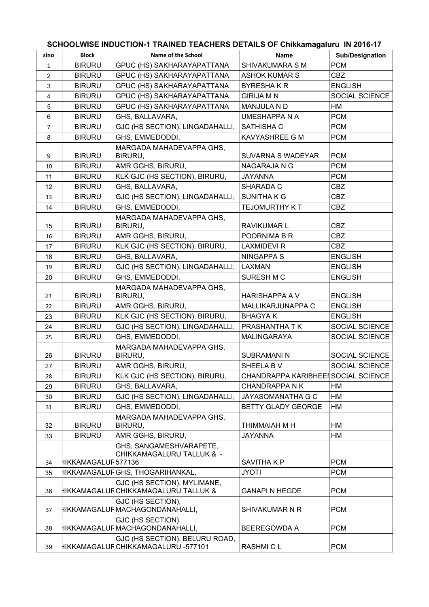| SCHOOLWISE INDUCTION-1 TRAINED TEACHERS DETAILS OF Chikkamagaluru IN 2016-17 |
|------------------------------------------------------------------------------|
|------------------------------------------------------------------------------|

| slno           | <b>Block</b>         | Name of the School                                                    | <b>Name</b>                         | <b>Sub/Designation</b> |
|----------------|----------------------|-----------------------------------------------------------------------|-------------------------------------|------------------------|
| $\mathbf{1}$   | <b>BIRURU</b>        | GPUC (HS) SAKHARAYAPATTANA                                            | SHIVAKUMARA S M                     | <b>PCM</b>             |
| $\overline{2}$ | <b>BIRURU</b>        | GPUC (HS) SAKHARAYAPATTANA                                            | <b>ASHOK KUMAR S</b>                | <b>CBZ</b>             |
| 3              | <b>BIRURU</b>        | GPUC (HS) SAKHARAYAPATTANA                                            | <b>BYRESHAKR</b>                    | <b>ENGLISH</b>         |
| 4              | <b>BIRURU</b>        | GPUC (HS) SAKHARAYAPATTANA                                            | <b>GIRIJA M N</b>                   | SOCIAL SCIENCE         |
| 5              | <b>BIRURU</b>        | GPUC (HS) SAKHARAYAPATTANA                                            | <b>MANJULA N D</b>                  | <b>HM</b>              |
| 6              | <b>BIRURU</b>        | GHS, BALLAVARA,                                                       | UMESHAPPA N A                       | <b>PCM</b>             |
| $\overline{7}$ | <b>BIRURU</b>        | GJC (HS SECTION), LINGADAHALLI,                                       | SATHISHA C                          | <b>PCM</b>             |
| 8              | <b>BIRURU</b>        | GHS, EMMEDODDI,                                                       | KAVYASHREE G M                      | <b>PCM</b>             |
|                |                      | MARGADA MAHADEVAPPA GHS,                                              |                                     |                        |
| 9              | <b>BIRURU</b>        | BIRURU,                                                               | <b>SUVARNA S WADEYAR</b>            | <b>PCM</b>             |
| 10             | <b>BIRURU</b>        | AMR GGHS, BIRURU,                                                     | NAGARAJA N G                        | <b>PCM</b>             |
| 11             | <b>BIRURU</b>        | KLK GJC (HS SECTION), BIRURU,                                         | <b>JAYANNA</b>                      | <b>PCM</b>             |
| 12             | <b>BIRURU</b>        | GHS, BALLAVARA,                                                       | SHARADA C                           | <b>CBZ</b>             |
| 13             | <b>BIRURU</b>        | GJC (HS SECTION), LINGADAHALLI,                                       | <b>SUNITHAKG</b>                    | <b>CBZ</b>             |
| 14             | <b>BIRURU</b>        | GHS, EMMEDODDI,                                                       | <b>TEJOMURTHY K T</b>               | <b>CBZ</b>             |
| 15             | <b>BIRURU</b>        | MARGADA MAHADEVAPPA GHS,<br>BIRURU,                                   | <b>RAVIKUMAR L</b>                  | <b>CBZ</b>             |
| 16             | <b>BIRURU</b>        | AMR GGHS, BIRURU,                                                     | POORNIMA B R                        | <b>CBZ</b>             |
| 17             | <b>BIRURU</b>        | KLK GJC (HS SECTION), BIRURU,                                         | <b>LAXMIDEVI R</b>                  | <b>CBZ</b>             |
| 18             | <b>BIRURU</b>        | GHS, BALLAVARA,                                                       | <b>NINGAPPA S</b>                   | <b>ENGLISH</b>         |
| 19             | <b>BIRURU</b>        | GJC (HS SECTION), LINGADAHALLI,                                       | LAXMAN                              | <b>ENGLISH</b>         |
| 20             | <b>BIRURU</b>        | GHS, EMMEDODDI,                                                       | SURESH M C                          | <b>ENGLISH</b>         |
| 21             | <b>BIRURU</b>        | MARGADA MAHADEVAPPA GHS,<br>BIRURU,                                   | <b>HARISHAPPA A V</b>               | <b>ENGLISH</b>         |
| 22             | <b>BIRURU</b>        | AMR GGHS, BIRURU,                                                     | MALLIKARJUNAPPA C                   | <b>ENGLISH</b>         |
| 23             | <b>BIRURU</b>        | KLK GJC (HS SECTION), BIRURU,                                         | <b>BHAGYAK</b>                      | <b>ENGLISH</b>         |
| 24             | <b>BIRURU</b>        | GJC (HS SECTION), LINGADAHALLI,                                       | PRASHANTHA T K                      | SOCIAL SCIENCE         |
| 25             | <b>BIRURU</b>        | GHS, EMMEDODDI,                                                       | MALINGARAYA                         | SOCIAL SCIENCE         |
|                |                      | MARGADA MAHADEVAPPA GHS,                                              |                                     |                        |
| 26             | <b>BIRURU</b>        | BIRURU,                                                               | SUBRAMANI N                         | SOCIAL SCIENCE         |
| 27             | <b>BIRURU</b>        | AMR GGHS, BIRURU,                                                     | SHEELA BV                           | SOCIAL SCIENCE         |
| 28             | <b>BIRURU</b>        | KLK GJC (HS SECTION), BIRURU,                                         | CHANDRAPPA KARIBHEEI SOCIAL SCIENCE |                        |
| 29             | <b>BIRURU</b>        | GHS, BALLAVARA,                                                       | <b>CHANDRAPPA N K</b>               | HМ                     |
| 30             | <b>BIRURU</b>        | GJC (HS SECTION), LINGADAHALLI,                                       | <b>JAYASOMANATHA G C</b>            | <b>HM</b>              |
| 31             | <b>BIRURU</b>        | GHS, EMMEDODDI,                                                       | <b>BETTY GLADY GEORGE</b>           | HM                     |
| 32             | <b>BIRURU</b>        | MARGADA MAHADEVAPPA GHS,<br>BIRURU,                                   | THIMMAIAH M H                       | HM                     |
| 33             | <b>BIRURU</b>        | AMR GGHS, BIRURU,                                                     | <b>JAYANNA</b>                      | HM                     |
|                |                      | GHS, SANGAMESHVARAPETE,                                               |                                     |                        |
|                |                      | CHIKKAMAGALURU TALLUK & -                                             |                                     |                        |
| 34             | HIKKAMAGALUFİ 577136 |                                                                       | SAVITHA K P                         | <b>PCM</b>             |
| 35             |                      | IIKKAMAGALUϜGHS, THOGARIHANKAL,                                       | <b>JYOTI</b>                        | <b>PCM</b>             |
| 36             |                      | GJC (HS SECTION), MYLIMANE,<br>HIKKAMAGALUFİCHIKKAMAGALURU TALLUK &   | <b>GANAPI N HEGDE</b>               | <b>PCM</b>             |
| 37             |                      | GJC (HS SECTION),<br>HIKKAMAGALUF∫MACHAGONDANAHALLI,                  | SHIVAKUMAR N R                      | <b>PCM</b>             |
| 38             |                      | GJC (HS SECTION),<br>HIKKAMAGALURMACHAGONDANAHALLI,                   | <b>BEEREGOWDA A</b>                 | <b>PCM</b>             |
| 39             |                      | GJC (HS SECTION), BELURU ROAD,<br>HIKKAMAGALUFİCHIKKAMAGALURU -577101 | RASHMI C L                          | <b>PCM</b>             |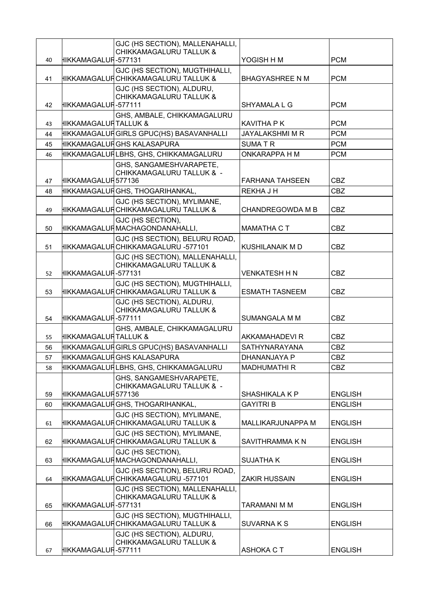|          |                        | GJC (HS SECTION), MALLENAHALLI,<br><b>CHIKKAMAGALURU TALLUK &amp;</b>  |                         |                |
|----------|------------------------|------------------------------------------------------------------------|-------------------------|----------------|
| 40       | HIKKAMAGALUFİ-577131   |                                                                        | YOGISH H M              | <b>PCM</b>     |
| 41       |                        | GJC (HS SECTION), MUGTHIHALLI,<br>HIKKAMAGALUҢCHIKKAMAGALURU TALLUK &  | <b>BHAGYASHREE N M</b>  | <b>PCM</b>     |
|          |                        | GJC (HS SECTION), ALDURU,<br>CHIKKAMAGALURU TALLUK &                   |                         |                |
| 42       | HIKKAMAGALUFİ-577111   |                                                                        | SHYAMALA L G            | <b>PCM</b>     |
|          |                        | GHS, AMBALE, CHIKKAMAGALURU                                            |                         |                |
| 43       | HIKKAMAGALUFİ TALLUK & |                                                                        | <b>KAVITHA P K</b>      | <b>PCM</b>     |
| 44       |                        | IIKKAMAGALUϜGIRLS GPUC(HS) BASAVANHALLI                                | <b>JAYALAKSHMI M R</b>  | <b>PCM</b>     |
| 45       |                        | HIKKAMAGALUF GHS KALASAPURA                                            | <b>SUMATR</b>           | <b>PCM</b>     |
| 46       |                        | HIKKAMAGALUҢ́LBHS, GHS, CHIKKAMAGALURU                                 | <b>ONKARAPPA H M</b>    | <b>PCM</b>     |
|          | HIKKAMAGALUFİ 577136   | GHS, SANGAMESHVARAPETE,<br>CHIKKAMAGALURU TALLUK & -                   | <b>FARHANA TAHSEEN</b>  | <b>CBZ</b>     |
| 47<br>48 |                        | IIKKAMAGALUϜGHS, THOGARIHANKAL,                                        | <b>REKHAJH</b>          | <b>CBZ</b>     |
|          |                        | GJC (HS SECTION), MYLIMANE,                                            |                         |                |
| 49       |                        | HIKKAMAGALUF CHIKKAMAGALURU TALLUK &                                   | <b>CHANDREGOWDA M B</b> | <b>CBZ</b>     |
| 50       |                        | GJC (HS SECTION),<br>HIKKAMAGALUF∫MACHAGONDANAHALLI,                   | <b>MAMATHA CT</b>       | <b>CBZ</b>     |
| 51       |                        | GJC (HS SECTION), BELURU ROAD,<br>HIKKAMAGALUF CHIKKAMAGALURU -577101  | KUSHILANAIK M D         | <b>CBZ</b>     |
|          |                        | GJC (HS SECTION), MALLENAHALLI,                                        |                         |                |
| 52       | HIKKAMAGALUFİ-577131   | <b>CHIKKAMAGALURU TALLUK &amp;</b>                                     | <b>VENKATESH H N</b>    | <b>CBZ</b>     |
| 53       |                        | GJC (HS SECTION), MUGTHIHALLI,<br>HIKKAMAGALUF CHIKKAMAGALURU TALLUK & | <b>ESMATH TASNEEM</b>   | <b>CBZ</b>     |
| 54       | HIKKAMAGALUFİ-577111   | GJC (HS SECTION), ALDURU,<br><b>CHIKKAMAGALURU TALLUK &amp;</b>        | <b>SUMANGALA M M</b>    | <b>CBZ</b>     |
| 55       | HIKKAMAGALUFİ TALLUK & | GHS, AMBALE, CHIKKAMAGALURU                                            | AKKAMAHADEVI R          | <b>CBZ</b>     |
| 56       |                        | IIKKAMAGALUϜ GIRLS GPUC(HS) BASAVANHALLI                               | SATHYNARAYANA           | <b>CBZ</b>     |
| 57       |                        | <del> I</del> IKKAMAGALUR⊂GHS KALASAPURA                               | DHANANJAYA P            | <b>CBZ</b>     |
| 58       |                        | IIKKAMAGALUϜ  LBHS, GHS, CHIKKAMAGALURU                                | <b>MADHUMATHIR</b>      | <b>CBZ</b>     |
| 59       | HIKKAMAGALUFİ 577136   | GHS, SANGAMESHVARAPETE,<br>CHIKKAMAGALURU TALLUK & -                   | <b>SHASHIKALA K P</b>   | <b>ENGLISH</b> |
| 60       |                        | IIKKAMAGALUϜGHS, THOGARIHANKAL,                                        | <b>GAYITRI B</b>        | <b>ENGLISH</b> |
| 61       |                        | GJC (HS SECTION), MYLIMANE,<br>НІККАМАGALUR CHIKKAMAGALURU TALLUK &    | MALLIKARJUNAPPA M       | <b>ENGLISH</b> |
| 62       |                        | GJC (HS SECTION), MYLIMANE,<br>HIKKAMAGALUF CHIKKAMAGALURU TALLUK &    | SAVITHRAMMA K N         | <b>ENGLISH</b> |
| 63       |                        | GJC (HS SECTION),<br><del> I</del> IKKAMAGALUϜ MACHAGONDANAHALLI,      | <b>SUJATHAK</b>         | <b>ENGLISH</b> |
| 64       |                        | GJC (HS SECTION), BELURU ROAD,<br>HIKKAMAGALUFİCHIKKAMAGALURU -577101  | <b>ZAKIR HUSSAIN</b>    | <b>ENGLISH</b> |
| 65       | HIKKAMAGALUFİ-577131   | GJC (HS SECTION), MALLENAHALLI,<br><b>CHIKKAMAGALURU TALLUK &amp;</b>  | <b>TARAMANI M M</b>     | <b>ENGLISH</b> |
|          |                        | GJC (HS SECTION), MUGTHIHALLI,                                         |                         |                |
| 66       |                        | IIKKAMAGALUҢCHIKKAMAGALURU TALLUK &<br>GJC (HS SECTION), ALDURU,       | <b>SUVARNAKS</b>        | <b>ENGLISH</b> |
|          |                        | CHIKKAMAGALURU TALLUK &                                                |                         |                |
| 67       | HIKKAMAGALUFİ-577111   |                                                                        | <b>ASHOKA CT</b>        | <b>ENGLISH</b> |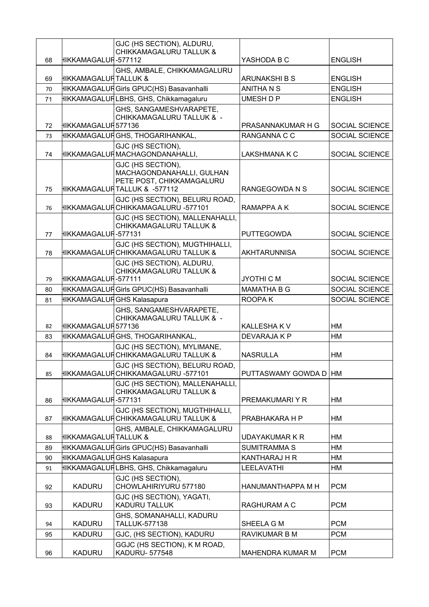| 68 | HIKKAMAGALUFİ-577112  | GJC (HS SECTION), ALDURU,<br><b>CHIKKAMAGALURU TALLUK &amp;</b>                                              | YASHODA B C             | <b>ENGLISH</b>        |
|----|-----------------------|--------------------------------------------------------------------------------------------------------------|-------------------------|-----------------------|
| 69 | HIKKAMAGALUFİTALLUK & | GHS, AMBALE, CHIKKAMAGALURU                                                                                  | ARUNAKSHI B S           | <b>ENGLISH</b>        |
| 70 |                       | HIKKAMAGALUF Girls GPUC(HS) Basavanhalli                                                                     | <b>ANITHANS</b>         | <b>ENGLISH</b>        |
| 71 |                       | HIKKAMAGALURLBHS, GHS, Chikkamagaluru                                                                        | <b>UMESH D P</b>        | <b>ENGLISH</b>        |
| 72 | HIKKAMAGALUFİ 577136  | GHS, SANGAMESHVARAPETE,<br>CHIKKAMAGALURU TALLUK & -                                                         | PRASANNAKUMAR H G       | SOCIAL SCIENCE        |
| 73 |                       | ∤IIKKAMAGALUϜGHS, THOGARIHANKAL,                                                                             | RANGANNA C C            | SOCIAL SCIENCE        |
| 74 |                       | GJC (HS SECTION),<br>HIKKAMAGALUFİ MACHAGONDANAHALLI.                                                        | LAKSHMANA K C           | SOCIAL SCIENCE        |
| 75 |                       | GJC (HS SECTION),<br>MACHAGONDANAHALLI, GULHAN<br>PETE POST, CHIKKAMAGALURU<br>HIKKAMAGALUFİTALLUK & -577112 | RANGEGOWDA N S          | SOCIAL SCIENCE        |
| 76 |                       | GJC (HS SECTION), BELURU ROAD,<br>HIKKAMAGALUFİCHIKKAMAGALURU -577101                                        | RAMAPPA A K             | <b>SOCIAL SCIENCE</b> |
| 77 | HIKKAMAGALUF - 577131 | GJC (HS SECTION), MALLENAHALLI,<br><b>CHIKKAMAGALURU TALLUK &amp;</b>                                        | <b>PUTTEGOWDA</b>       | SOCIAL SCIENCE        |
| 78 |                       | GJC (HS SECTION), MUGTHIHALLI,<br> IIKKAMAGALUҢCHIKKAMAGALURU TALLUK &                                       | <b>AKHTARUNNISA</b>     | SOCIAL SCIENCE        |
| 79 | HIKKAMAGALUFİ-577111  | GJC (HS SECTION), ALDURU,<br><b>CHIKKAMAGALURU TALLUK &amp;</b>                                              | <b>JYOTHI C M</b>       | SOCIAL SCIENCE        |
| 80 |                       | HIKKAMAGALUF Girls GPUC(HS) Basavanhalli                                                                     | <b>MAMATHA B G</b>      | SOCIAL SCIENCE        |
| 81 |                       | HIKKAMAGALURGHS Kalasapura                                                                                   | ROOPA K                 | SOCIAL SCIENCE        |
|    |                       | GHS, SANGAMESHVARAPETE,<br>CHIKKAMAGALURU TALLUK & -                                                         |                         |                       |
| 82 | HIKKAMAGALUFİ 577136  |                                                                                                              | KALLESHA K V            | HM                    |
| 83 |                       | HIKKAMAGALUFİGHS, THOGARIHANKAL,                                                                             | DEVARAJA K P            | <b>HM</b>             |
| 84 |                       | GJC (HS SECTION), MYLIMANE,<br>HIKKAMAGALUF CHIKKAMAGALURU TALLUK &                                          | <b>NASRULLA</b>         | HM                    |
| 85 |                       | GJC (HS SECTION), BELURU ROAD,<br>HIKKAMAGALUFİCHIKKAMAGALURU -577101                                        | PUTTASWAMY GOWDA D   HM |                       |
| 86 | HIKKAMAGALUFİ-577131  | GJC (HS SECTION), MALLENAHALLI,<br><b>CHIKKAMAGALURU TALLUK &amp;</b>                                        | PREMAKUMARI Y R         | HM                    |
|    |                       | GJC (HS SECTION), MUGTHIHALLI,                                                                               |                         |                       |
| 87 |                       | HIKKAMAGALUF CHIKKAMAGALURU TALLUK &<br>GHS, AMBALE, CHIKKAMAGALURU                                          | PRABHAKARA H P          | HM                    |
| 88 | HIKKAMAGALUFİTALLUK & |                                                                                                              | UDAYAKUMAR K R          | HМ                    |
| 89 |                       | HIKKAMAGALUF Girls GPUC(HS) Basavanhalli                                                                     | <b>SUMITRAMMA S</b>     | HM                    |
| 90 |                       | HIKKAMAGALUF  GHS Kalasapura                                                                                 | KANTHARAJ H R           | HM                    |
| 91 |                       | HIKKAMAGALURLBHS, GHS, Chikkamagaluru                                                                        | LEELAVATHI              | HM                    |
| 92 | <b>KADURU</b>         | GJC (HS SECTION),<br>CHOWLAHIRIYURU 577180                                                                   | HANUMANTHAPPA M H       | <b>PCM</b>            |
| 93 | <b>KADURU</b>         | GJC (HS SECTION), YAGATI,<br><b>KADURU TALLUK</b>                                                            | RAGHURAM A C            | <b>PCM</b>            |
| 94 | <b>KADURU</b>         | GHS, SOMANAHALLI, KADURU<br>TALLUK-577138                                                                    | SHEELA G M              | <b>PCM</b>            |
| 95 | <b>KADURU</b>         | GJC, (HS SECTION), KADURU                                                                                    | RAVIKUMAR B M           | <b>PCM</b>            |
| 96 | <b>KADURU</b>         | GGJC (HS SECTION), K M ROAD,<br>KADURU- 577548                                                               | <b>MAHENDRA KUMAR M</b> | <b>PCM</b>            |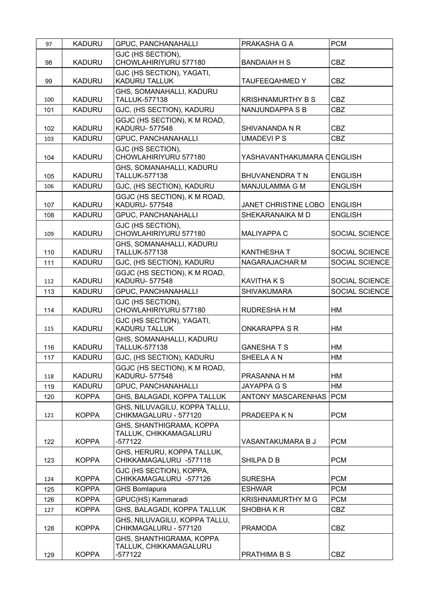| 97  | <b>KADURU</b> | <b>GPUC, PANCHANAHALLI</b>                                      | PRAKASHA G A               | <b>PCM</b>     |
|-----|---------------|-----------------------------------------------------------------|----------------------------|----------------|
| 98  | <b>KADURU</b> | GJC (HS SECTION),<br>CHOWLAHIRIYURU 577180                      | <b>BANDAIAH H S</b>        | <b>CBZ</b>     |
| 99  | <b>KADURU</b> | GJC (HS SECTION), YAGATI,<br><b>KADURU TALLUK</b>               | <b>TAUFEEQAHMED Y</b>      | <b>CBZ</b>     |
| 100 | <b>KADURU</b> | GHS, SOMANAHALLI, KADURU<br><b>TALLUK-577138</b>                | <b>KRISHNAMURTHY B S</b>   | <b>CBZ</b>     |
| 101 | <b>KADURU</b> | GJC, (HS SECTION), KADURU                                       | <b>NANJUNDAPPA S B</b>     | <b>CBZ</b>     |
| 102 | <b>KADURU</b> | GGJC (HS SECTION), K M ROAD,<br><b>KADURU-577548</b>            | SHIVANANDA N R             | <b>CBZ</b>     |
| 103 | <b>KADURU</b> | <b>GPUC, PANCHANAHALLI</b>                                      | <b>UMADEVIPS</b>           | <b>CBZ</b>     |
| 104 | <b>KADURU</b> | GJC (HS SECTION),<br>CHOWLAHIRIYURU 577180                      | YASHAVANTHAKUMARA (ENGLISH |                |
| 105 | <b>KADURU</b> | GHS, SOMANAHALLI, KADURU<br>TALLUK-577138                       | <b>BHUVANENDRA T N</b>     | <b>ENGLISH</b> |
| 106 | <b>KADURU</b> | GJC, (HS SECTION), KADURU                                       | <b>MANJULAMMA G M</b>      | <b>ENGLISH</b> |
| 107 | <b>KADURU</b> | GGJC (HS SECTION), K M ROAD,<br><b>KADURU-577548</b>            | JANET CHRISTINE LOBO       | <b>ENGLISH</b> |
| 108 | <b>KADURU</b> | <b>GPUC, PANCHANAHALLI</b>                                      | SHEKARANAIKA M D           | <b>ENGLISH</b> |
| 109 | <b>KADURU</b> | GJC (HS SECTION),<br>CHOWLAHIRIYURU 577180                      | <b>MALIYAPPA C</b>         | SOCIAL SCIENCE |
| 110 | <b>KADURU</b> | GHS, SOMANAHALLI, KADURU<br><b>TALLUK-577138</b>                | <b>KANTHESHAT</b>          | SOCIAL SCIENCE |
| 111 | <b>KADURU</b> | GJC, (HS SECTION), KADURU                                       | NAGARAJACHAR M             | SOCIAL SCIENCE |
| 112 | <b>KADURU</b> | GGJC (HS SECTION), K M ROAD,<br><b>KADURU-577548</b>            | <b>KAVITHA K S</b>         | SOCIAL SCIENCE |
| 113 | <b>KADURU</b> | <b>GPUC, PANCHANAHALLI</b>                                      | <b>SHIVAKUMARA</b>         | SOCIAL SCIENCE |
| 114 | <b>KADURU</b> | GJC (HS SECTION),<br>CHOWLAHIRIYURU 577180                      | RUDRESHA H M               | HM             |
| 115 | <b>KADURU</b> | GJC (HS SECTION), YAGATI,<br><b>KADURU TALLUK</b>               | <b>ONKARAPPA S R</b>       | HM             |
| 116 | <b>KADURU</b> | GHS, SOMANAHALLI, KADURU<br><b>TALLUK-577138</b>                | <b>GANESHATS</b>           | HM             |
| 117 | <b>KADURU</b> | GJC, (HS SECTION), KADURU                                       | SHEELA A N                 | HM             |
| 118 | <b>KADURU</b> | GGJC (HS SECTION), K M ROAD,<br><b>KADURU-577548</b>            | PRASANNA H M               | HM             |
| 119 | <b>KADURU</b> | <b>GPUC, PANCHANAHALLI</b>                                      | JAYAPPA G S                | <b>HM</b>      |
| 120 | <b>KOPPA</b>  | GHS, BALAGADI, KOPPA TALLUK                                     | ANTONY MASCARENHAS         | <b>PCM</b>     |
| 121 | <b>KOPPA</b>  | GHS, NILUVAGILU, KOPPA TALLU,<br>CHIKMAGALURU - 577120          | PRADEEPA K N               | <b>PCM</b>     |
| 122 | <b>KOPPA</b>  | GHS, SHANTHIGRAMA, KOPPA<br>TALLUK, CHIKKAMAGALURU<br>$-577122$ | VASANTAKUMARA B J          | <b>PCM</b>     |
| 123 | <b>KOPPA</b>  | GHS, HERURU, KOPPA TALLUK,<br>CHIKKAMAGALURU -577118            | SHILPA D B                 | <b>PCM</b>     |
| 124 | <b>KOPPA</b>  | GJC (HS SECTION), KOPPA,<br>CHIKKAMAGALURU -577126              | <b>SURESHA</b>             | <b>PCM</b>     |
| 125 | <b>KOPPA</b>  | <b>GHS Bomlapura</b>                                            | <b>ESHWAR</b>              | <b>PCM</b>     |
| 126 | <b>KOPPA</b>  | GPUC(HS) Kammaradi                                              | KRISHNAMURTHY M G          | <b>PCM</b>     |
| 127 | <b>KOPPA</b>  | GHS, BALAGADI, KOPPA TALLUK                                     | SHOBHAKR                   | <b>CBZ</b>     |
| 128 | <b>KOPPA</b>  | GHS, NILUVAGILU, KOPPA TALLU,<br>CHIKMAGALURU - 577120          | <b>PRAMODA</b>             | <b>CBZ</b>     |
| 129 | <b>KOPPA</b>  | GHS, SHANTHIGRAMA, KOPPA<br>TALLUK, CHIKKAMAGALURU<br>$-577122$ | PRATHIMA B S               | <b>CBZ</b>     |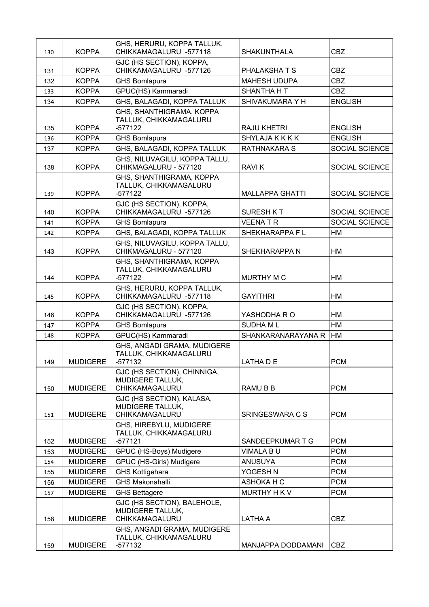|     |                 | GHS, HERURU, KOPPA TALLUK,                             |                        |                |
|-----|-----------------|--------------------------------------------------------|------------------------|----------------|
| 130 | <b>KOPPA</b>    | CHIKKAMAGALURU -577118                                 | <b>SHAKUNTHALA</b>     | <b>CBZ</b>     |
| 131 | <b>KOPPA</b>    | GJC (HS SECTION), KOPPA,<br>CHIKKAMAGALURU -577126     | PHALAKSHATS            | <b>CBZ</b>     |
| 132 | <b>KOPPA</b>    | <b>GHS Bomlapura</b>                                   | <b>MAHESH UDUPA</b>    | <b>CBZ</b>     |
| 133 | <b>KOPPA</b>    | GPUC(HS) Kammaradi                                     | <b>SHANTHA H T</b>     | <b>CBZ</b>     |
| 134 | <b>KOPPA</b>    | GHS, BALAGADI, KOPPA TALLUK                            | SHIVAKUMARA Y H        | <b>ENGLISH</b> |
|     |                 | GHS, SHANTHIGRAMA, KOPPA                               |                        |                |
|     |                 | TALLUK, CHIKKAMAGALURU                                 |                        |                |
| 135 | <b>KOPPA</b>    | -577122                                                | <b>RAJU KHETRI</b>     | <b>ENGLISH</b> |
| 136 | <b>KOPPA</b>    | <b>GHS Bomlapura</b>                                   | <b>SHYLAJA K K K K</b> | <b>ENGLISH</b> |
| 137 | <b>KOPPA</b>    | GHS, BALAGADI, KOPPA TALLUK                            | <b>RATHNAKARA S</b>    | SOCIAL SCIENCE |
| 138 | <b>KOPPA</b>    | GHS, NILUVAGILU, KOPPA TALLU,<br>CHIKMAGALURU - 577120 | <b>RAVIK</b>           | SOCIAL SCIENCE |
|     |                 | GHS, SHANTHIGRAMA, KOPPA                               |                        |                |
|     |                 | TALLUK, CHIKKAMAGALURU                                 |                        |                |
| 139 | <b>KOPPA</b>    | -577122                                                | <b>MALLAPPA GHATTI</b> | SOCIAL SCIENCE |
| 140 | <b>KOPPA</b>    | GJC (HS SECTION), KOPPA,<br>CHIKKAMAGALURU -577126     | <b>SURESH KT</b>       | SOCIAL SCIENCE |
| 141 | <b>KOPPA</b>    | GHS Bomlapura                                          | <b>VEENATR</b>         | SOCIAL SCIENCE |
|     | <b>KOPPA</b>    | GHS, BALAGADI, KOPPA TALLUK                            | SHEKHARAPPA F L        | HM             |
| 142 |                 | GHS, NILUVAGILU, KOPPA TALLU,                          |                        |                |
| 143 | <b>KOPPA</b>    | CHIKMAGALURU - 577120                                  | SHEKHARAPPA N          | HM             |
|     |                 | GHS, SHANTHIGRAMA, KOPPA                               |                        |                |
| 144 | <b>KOPPA</b>    | TALLUK, CHIKKAMAGALURU<br>$-577122$                    | <b>MURTHY M C</b>      | <b>HM</b>      |
|     |                 | GHS, HERURU, KOPPA TALLUK,                             |                        |                |
| 145 | <b>KOPPA</b>    | CHIKKAMAGALURU -577118                                 | <b>GAYITHRI</b>        | HM             |
| 146 | <b>KOPPA</b>    | GJC (HS SECTION), KOPPA,<br>CHIKKAMAGALURU -577126     | YASHODHA R O           | HM             |
| 147 | <b>KOPPA</b>    | <b>GHS Bomlapura</b>                                   | <b>SUDHAML</b>         | HM             |
| 148 | <b>KOPPA</b>    | GPUC(HS) Kammaradi                                     | SHANKARANARAYANA R     | HM             |
|     |                 | GHS, ANGADI GRAMA, MUDIGERE                            |                        |                |
|     |                 | TALLUK, CHIKKAMAGALURU                                 |                        |                |
| 149 | <b>MUDIGERE</b> | -577132                                                | LATHA D E              | <b>PCM</b>     |
|     |                 | GJC (HS SECTION), CHINNIGA,<br>MUDIGERE TALLUK,        |                        |                |
| 150 | <b>MUDIGERE</b> | CHIKKAMAGALURU                                         | RAMU B B               | <b>PCM</b>     |
|     |                 | GJC (HS SECTION), KALASA,                              |                        |                |
|     |                 | MUDIGERE TALLUK,                                       |                        |                |
| 151 | <b>MUDIGERE</b> | CHIKKAMAGALURU                                         | SRINGESWARA C S        | <b>PCM</b>     |
|     |                 | GHS, HIREBYLU, MUDIGERE<br>TALLUK, CHIKKAMAGALURU      |                        |                |
| 152 | <b>MUDIGERE</b> | $-577121$                                              | SANDEEPKUMAR T G       | <b>PCM</b>     |
| 153 | <b>MUDIGERE</b> | GPUC (HS-Boys) Mudigere                                | VIMALA BU              | <b>PCM</b>     |
| 154 | <b>MUDIGERE</b> | GPUC (HS-Girls) Mudigere                               | <b>ANUSUYA</b>         | <b>PCM</b>     |
| 155 | <b>MUDIGERE</b> | <b>GHS Kottigehara</b>                                 | YOGESH N               | <b>PCM</b>     |
| 156 | <b>MUDIGERE</b> | <b>GHS Makonahalli</b>                                 | ASHOKA H C             | <b>PCM</b>     |
| 157 | <b>MUDIGERE</b> | <b>GHS Bettagere</b>                                   | MURTHY H K V           | <b>PCM</b>     |
|     |                 | GJC (HS SECTION), BALEHOLE,                            |                        |                |
|     |                 | MUDIGERE TALLUK,                                       |                        |                |
| 158 | <b>MUDIGERE</b> | CHIKKAMAGALURU                                         | <b>LATHA A</b>         | <b>CBZ</b>     |
|     |                 | GHS, ANGADI GRAMA, MUDIGERE<br>TALLUK, CHIKKAMAGALURU  |                        |                |
| 159 | <b>MUDIGERE</b> | -577132                                                | MANJAPPA DODDAMANI     | CBZ            |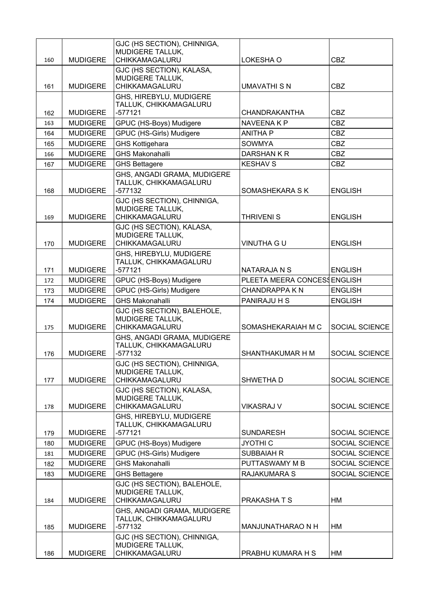| 160 | <b>MUDIGERE</b> | GJC (HS SECTION), CHINNIGA,<br>MUDIGERE TALLUK,<br>CHIKKAMAGALURU  | LOKESHA O                   | <b>CBZ</b>            |
|-----|-----------------|--------------------------------------------------------------------|-----------------------------|-----------------------|
|     |                 | GJC (HS SECTION), KALASA,                                          |                             |                       |
|     |                 | MUDIGERE TALLUK,                                                   |                             |                       |
| 161 | <b>MUDIGERE</b> | CHIKKAMAGALURU                                                     | <b>UMAVATHI S N</b>         | <b>CBZ</b>            |
| 162 | <b>MUDIGERE</b> | GHS, HIREBYLU, MUDIGERE<br>TALLUK, CHIKKAMAGALURU<br>$-577121$     | CHANDRAKANTHA               | <b>CBZ</b>            |
| 163 | <b>MUDIGERE</b> | GPUC (HS-Boys) Mudigere                                            | <b>NAVEENA K P</b>          | <b>CBZ</b>            |
| 164 | <b>MUDIGERE</b> | GPUC (HS-Girls) Mudigere                                           | <b>ANITHA P</b>             | <b>CBZ</b>            |
| 165 | <b>MUDIGERE</b> | <b>GHS Kottigehara</b>                                             | <b>SOWMYA</b>               | <b>CBZ</b>            |
| 166 | <b>MUDIGERE</b> | <b>GHS Makonahalli</b>                                             | DARSHAN K R                 | <b>CBZ</b>            |
| 167 | <b>MUDIGERE</b> | <b>GHS Bettagere</b>                                               | <b>KESHAV S</b>             | <b>CBZ</b>            |
| 168 | <b>MUDIGERE</b> | GHS, ANGADI GRAMA, MUDIGERE<br>TALLUK, CHIKKAMAGALURU<br>$-577132$ | SOMASHEKARA S K             | <b>ENGLISH</b>        |
|     |                 | GJC (HS SECTION), CHINNIGA,<br>MUDIGERE TALLUK,                    |                             |                       |
| 169 | <b>MUDIGERE</b> | CHIKKAMAGALURU                                                     | <b>THRIVENI S</b>           | <b>ENGLISH</b>        |
| 170 | <b>MUDIGERE</b> | GJC (HS SECTION), KALASA,<br>MUDIGERE TALLUK,<br>CHIKKAMAGALURU    | <b>VINUTHA G U</b>          | <b>ENGLISH</b>        |
|     |                 | GHS, HIREBYLU, MUDIGERE<br>TALLUK, CHIKKAMAGALURU                  |                             |                       |
| 171 | <b>MUDIGERE</b> | $-577121$                                                          | NATARAJA N S                | <b>ENGLISH</b>        |
| 172 | <b>MUDIGERE</b> | GPUC (HS-Boys) Mudigere                                            | PLEETA MEERA CONCESSENGLISH |                       |
| 173 | <b>MUDIGERE</b> | GPUC (HS-Girls) Mudigere                                           | <b>CHANDRAPPA KN</b>        | <b>ENGLISH</b>        |
| 174 | <b>MUDIGERE</b> | <b>GHS Makonahalli</b>                                             | PANIRAJU H S                | <b>ENGLISH</b>        |
| 175 | <b>MUDIGERE</b> | GJC (HS SECTION), BALEHOLE,<br>MUDIGERE TALLUK,<br>CHIKKAMAGALURU  | SOMASHEKARAIAH M C          | <b>SOCIAL SCIENCE</b> |
| 176 | <b>MUDIGERE</b> | GHS, ANGADI GRAMA, MUDIGERE<br>TALLUK, CHIKKAMAGALURU<br>-577132   | SHANTHAKUMAR H M            | SOCIAL SCIENCE        |
|     |                 | GJC (HS SECTION), CHINNIGA,<br>MUDIGERE TALLUK,                    |                             |                       |
| 177 | <b>MUDIGERE</b> | CHIKKAMAGALURU                                                     | SHWETHA D                   | SOCIAL SCIENCE        |
| 178 | <b>MUDIGERE</b> | GJC (HS SECTION), KALASA,<br>MUDIGERE TALLUK,<br>CHIKKAMAGALURU    | <b>VIKASRAJ V</b>           | SOCIAL SCIENCE        |
| 179 | <b>MUDIGERE</b> | GHS, HIREBYLU, MUDIGERE<br>TALLUK, CHIKKAMAGALURU<br>-577121       | <b>SUNDARESH</b>            | SOCIAL SCIENCE        |
| 180 | <b>MUDIGERE</b> | GPUC (HS-Boys) Mudigere                                            | <b>JYOTHI C</b>             | SOCIAL SCIENCE        |
| 181 | <b>MUDIGERE</b> | GPUC (HS-Girls) Mudigere                                           | <b>SUBBAIAH R</b>           | SOCIAL SCIENCE        |
| 182 | <b>MUDIGERE</b> | <b>GHS Makonahalli</b>                                             | PUTTASWAMY M B              | SOCIAL SCIENCE        |
| 183 | <b>MUDIGERE</b> | <b>GHS Bettagere</b>                                               | <b>RAJAKUMARA S</b>         | <b>SOCIAL SCIENCE</b> |
| 184 | <b>MUDIGERE</b> | GJC (HS SECTION), BALEHOLE,<br>MUDIGERE TALLUK,<br>CHIKKAMAGALURU  | <b>PRAKASHATS</b>           | HM                    |
| 185 | <b>MUDIGERE</b> | GHS, ANGADI GRAMA, MUDIGERE<br>TALLUK, CHIKKAMAGALURU<br>$-577132$ | MANJUNATHARAO N H           | HM                    |
| 186 | <b>MUDIGERE</b> | GJC (HS SECTION), CHINNIGA,<br>MUDIGERE TALLUK,<br>CHIKKAMAGALURU  | PRABHU KUMARA H S           | HM                    |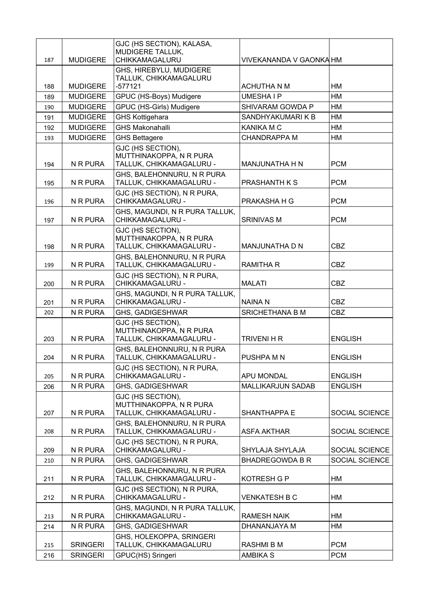| 187 | <b>MUDIGERE</b> | GJC (HS SECTION), KALASA,<br>MUDIGERE TALLUK,<br>CHIKKAMAGALURU          | VIVEKANANDA V GAONKA HM  |                |
|-----|-----------------|--------------------------------------------------------------------------|--------------------------|----------------|
|     |                 | GHS, HIREBYLU, MUDIGERE<br>TALLUK, CHIKKAMAGALURU                        |                          |                |
| 188 | <b>MUDIGERE</b> | $-577121$                                                                | <b>ACHUTHA N M</b>       | HM             |
| 189 | <b>MUDIGERE</b> | GPUC (HS-Boys) Mudigere                                                  | <b>UMESHAIP</b>          | <b>HM</b>      |
| 190 | <b>MUDIGERE</b> | GPUC (HS-Girls) Mudigere                                                 | SHIVARAM GOWDA P         | <b>HM</b>      |
| 191 | <b>MUDIGERE</b> | <b>GHS Kottigehara</b>                                                   | SANDHYAKUMARI K B        | HM             |
| 192 | <b>MUDIGERE</b> | <b>GHS Makonahalli</b>                                                   | <b>KANIKA M C</b>        | <b>HM</b>      |
| 193 | <b>MUDIGERE</b> | <b>GHS Bettagere</b>                                                     | <b>CHANDRAPPA M</b>      | <b>HM</b>      |
| 194 | N R PURA        | GJC (HS SECTION),<br>MUTTHINAKOPPA, N R PURA<br>TALLUK, CHIKKAMAGALURU - | MANJUNATHA H N           | <b>PCM</b>     |
| 195 | N R PURA        | GHS, BALEHONNURU, N R PURA<br>TALLUK, CHIKKAMAGALURU -                   | PRASHANTH K S            | <b>PCM</b>     |
| 196 | N R PURA        | GJC (HS SECTION), N R PURA,<br>CHIKKAMAGALURU -                          | PRAKASHA H G             | <b>PCM</b>     |
| 197 | N R PURA        | GHS, MAGUNDI, N R PURA TALLUK,<br>CHIKKAMAGALURU -                       | <b>SRINIVAS M</b>        | <b>PCM</b>     |
| 198 | N R PURA        | GJC (HS SECTION),<br>MUTTHINAKOPPA, N R PURA<br>TALLUK, CHIKKAMAGALURU - | <b>MANJUNATHA D N</b>    | <b>CBZ</b>     |
| 199 | N R PURA        | GHS, BALEHONNURU, N R PURA<br>TALLUK, CHIKKAMAGALURU -                   | <b>RAMITHA R</b>         | <b>CBZ</b>     |
| 200 | N R PURA        | GJC (HS SECTION), N R PURA,<br>CHIKKAMAGALURU -                          | <b>MALATI</b>            | <b>CBZ</b>     |
| 201 | N R PURA        | GHS, MAGUNDI, N R PURA TALLUK,<br>CHIKKAMAGALURU -                       | <b>NAINAN</b>            | <b>CBZ</b>     |
| 202 | N R PURA        | GHS, GADIGESHWAR                                                         | SRICHETHANA B M          | <b>CBZ</b>     |
| 203 | N R PURA        | GJC (HS SECTION),<br>MUTTHINAKOPPA, N R PURA<br>TALLUK, CHIKKAMAGALURU - | <b>TRIVENI H R</b>       | <b>ENGLISH</b> |
| 204 | N R PURA        | GHS, BALEHONNURU, N R PURA<br>TALLUK, CHIKKAMAGALURU -                   | PUSHPA M N               | <b>ENGLISH</b> |
| 205 | N R PURA        | GJC (HS SECTION), N R PURA,<br>CHIKKAMAGALURU -                          | APU MONDAL               | <b>ENGLISH</b> |
| 206 | N R PURA        | GHS, GADIGESHWAR                                                         | <b>MALLIKARJUN SADAB</b> | <b>ENGLISH</b> |
| 207 | N R PURA        | GJC (HS SECTION),<br>MUTTHINAKOPPA, N R PURA<br>TALLUK, CHIKKAMAGALURU - | SHANTHAPPA E             | SOCIAL SCIENCE |
| 208 | N R PURA        | GHS, BALEHONNURU, N R PURA<br>TALLUK, CHIKKAMAGALURU -                   | <b>ASFA AKTHAR</b>       | SOCIAL SCIENCE |
| 209 | N R PURA        | GJC (HS SECTION), N R PURA,<br>CHIKKAMAGALURU -                          | SHYLAJA SHYLAJA          | SOCIAL SCIENCE |
| 210 | N R PURA        | GHS, GADIGESHWAR                                                         | <b>BHADREGOWDA B R</b>   | SOCIAL SCIENCE |
| 211 | N R PURA        | GHS, BALEHONNURU, N R PURA<br>TALLUK, CHIKKAMAGALURU -                   | KOTRESH G P              | HM             |
| 212 | N R PURA        | GJC (HS SECTION), N R PURA,<br>CHIKKAMAGALURU -                          | <b>VENKATESH B C</b>     | HM             |
| 213 | N R PURA        | GHS, MAGUNDI, N R PURA TALLUK,<br>CHIKKAMAGALURU -                       | <b>RAMESH NAIK</b>       | <b>HM</b>      |
| 214 | N R PURA        | <b>GHS, GADIGESHWAR</b>                                                  | DHANANJAYA M             | HM             |
| 215 | <b>SRINGERI</b> | GHS, HOLEKOPPA, SRINGERI<br>TALLUK, CHIKKAMAGALURU                       | <b>RASHMI B M</b>        | <b>PCM</b>     |
| 216 | <b>SRINGERI</b> | GPUC(HS) Sringeri                                                        | <b>AMBIKA S</b>          | <b>PCM</b>     |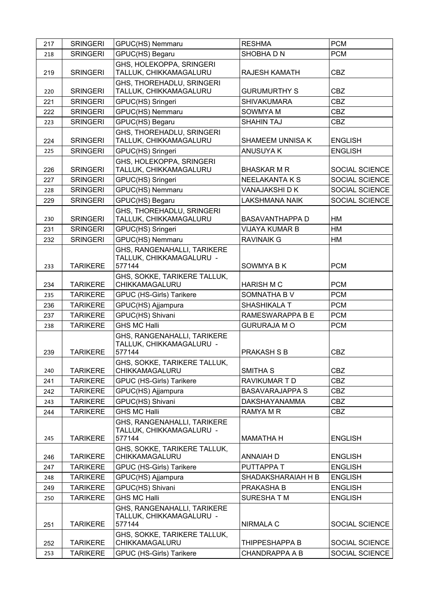| 217 | <b>SRINGERI</b> | GPUC(HS) Nemmaru                                                  | <b>RESHMA</b>          | <b>PCM</b>     |
|-----|-----------------|-------------------------------------------------------------------|------------------------|----------------|
| 218 | <b>SRINGERI</b> | GPUC(HS) Begaru                                                   | SHOBHA D N             | <b>PCM</b>     |
| 219 | <b>SRINGERI</b> | GHS, HOLEKOPPA, SRINGERI<br>TALLUK, CHIKKAMAGALURU                | <b>RAJESH KAMATH</b>   | <b>CBZ</b>     |
| 220 | <b>SRINGERI</b> | GHS, THOREHADLU, SRINGERI<br>TALLUK, CHIKKAMAGALURU               | <b>GURUMURTHY S</b>    | <b>CBZ</b>     |
| 221 | <b>SRINGERI</b> | GPUC(HS) Sringeri                                                 | <b>SHIVAKUMARA</b>     | <b>CBZ</b>     |
| 222 | <b>SRINGERI</b> | GPUC(HS) Nemmaru                                                  | SOWMYA M               | <b>CBZ</b>     |
| 223 | <b>SRINGERI</b> | GPUC(HS) Begaru                                                   | <b>SHAHIN TAJ</b>      | <b>CBZ</b>     |
| 224 | <b>SRINGERI</b> | GHS, THOREHADLU, SRINGERI<br>TALLUK, CHIKKAMAGALURU               | SHAMEEM UNNISA K       | <b>ENGLISH</b> |
| 225 | <b>SRINGERI</b> | GPUC(HS) Sringeri                                                 | <b>ANUSUYA K</b>       | <b>ENGLISH</b> |
| 226 | <b>SRINGERI</b> | GHS, HOLEKOPPA, SRINGERI<br>TALLUK, CHIKKAMAGALURU                | <b>BHASKAR M R</b>     | SOCIAL SCIENCE |
| 227 | <b>SRINGERI</b> | GPUC(HS) Sringeri                                                 | <b>NEELAKANTA K S</b>  | SOCIAL SCIENCE |
| 228 | <b>SRINGERI</b> | GPUC(HS) Nemmaru                                                  | VANAJAKSHI DK          | SOCIAL SCIENCE |
| 229 | <b>SRINGERI</b> | GPUC(HS) Begaru                                                   | <b>LAKSHMANA NAIK</b>  | SOCIAL SCIENCE |
| 230 | <b>SRINGERI</b> | GHS, THOREHADLU, SRINGERI<br>TALLUK, CHIKKAMAGALURU               | <b>BASAVANTHAPPA D</b> | HM             |
| 231 | <b>SRINGERI</b> | GPUC(HS) Sringeri                                                 | <b>VIJAYA KUMAR B</b>  | HM             |
| 232 | <b>SRINGERI</b> | GPUC(HS) Nemmaru                                                  | <b>RAVINAIK G</b>      | HM             |
| 233 | <b>TARIKERE</b> | GHS, RANGENAHALLI, TARIKERE<br>TALLUK, CHIKKAMAGALURU -<br>577144 | <b>SOWMYABK</b>        | <b>PCM</b>     |
| 234 | <b>TARIKERE</b> | GHS, SOKKE, TARIKERE TALLUK,<br>CHIKKAMAGALURU                    | <b>HARISH M C</b>      | <b>PCM</b>     |
| 235 | <b>TARIKERE</b> | GPUC (HS-Girls) Tarikere                                          | SOMNATHA B V           | <b>PCM</b>     |
| 236 | <b>TARIKERE</b> | GPUC(HS) Ajjampura                                                | SHASHIKALA T           | <b>PCM</b>     |
| 237 | <b>TARIKERE</b> | GPUC(HS) Shivani                                                  | RAMESWARAPPA B E       | <b>PCM</b>     |
| 238 | <b>TARIKERE</b> | <b>GHS MC Halli</b>                                               | <b>GURURAJA M O</b>    | <b>PCM</b>     |
| 239 | <b>TARIKERE</b> | GHS, RANGENAHALLI, TARIKERE<br>TALLUK, CHIKKAMAGALURU -<br>577144 | <b>PRAKASH S B</b>     | <b>CBZ</b>     |
| 240 | <b>TARIKERE</b> | GHS, SOKKE, TARIKERE TALLUK,<br>CHIKKAMAGALURU                    | SMITHA <sub>S</sub>    | <b>CBZ</b>     |
| 241 | <b>TARIKERE</b> | GPUC (HS-Girls) Tarikere                                          | RAVIKUMAR T D          | <b>CBZ</b>     |
| 242 | <b>TARIKERE</b> | GPUC(HS) Ajjampura                                                | <b>BASAVARAJAPPA S</b> | <b>CBZ</b>     |
| 243 | <b>TARIKERE</b> | GPUC(HS) Shivani                                                  | <b>DAKSHAYANAMMA</b>   | <b>CBZ</b>     |
| 244 | <b>TARIKERE</b> | <b>GHS MC Halli</b>                                               | RAMYA M R              | <b>CBZ</b>     |
| 245 | <b>TARIKERE</b> | GHS, RANGENAHALLI, TARIKERE<br>TALLUK, CHIKKAMAGALURU -<br>577144 | <b>MAMATHA H</b>       | <b>ENGLISH</b> |
| 246 | <b>TARIKERE</b> | GHS, SOKKE, TARIKERE TALLUK,<br>CHIKKAMAGALURU                    | <b>ANNAIAH D</b>       | <b>ENGLISH</b> |
| 247 | <b>TARIKERE</b> | GPUC (HS-Girls) Tarikere                                          | PUTTAPPA T             | <b>ENGLISH</b> |
| 248 | <b>TARIKERE</b> | GPUC(HS) Ajjampura                                                | SHADAKSHARAIAH H B     | <b>ENGLISH</b> |
| 249 | <b>TARIKERE</b> | GPUC(HS) Shivani                                                  | PRAKASHA B             | <b>ENGLISH</b> |
| 250 | <b>TARIKERE</b> | <b>GHS MC Halli</b>                                               | SURESHATM              | <b>ENGLISH</b> |
| 251 | <b>TARIKERE</b> | GHS, RANGENAHALLI, TARIKERE<br>TALLUK, CHIKKAMAGALURU -<br>577144 | NIRMALA C              | SOCIAL SCIENCE |
|     |                 | GHS, SOKKE, TARIKERE TALLUK,                                      |                        |                |
| 252 | <b>TARIKERE</b> | CHIKKAMAGALURU                                                    | THIPPESHAPPA B         | SOCIAL SCIENCE |
| 253 | <b>TARIKERE</b> | GPUC (HS-Girls) Tarikere                                          | <b>CHANDRAPPA A B</b>  | SOCIAL SCIENCE |